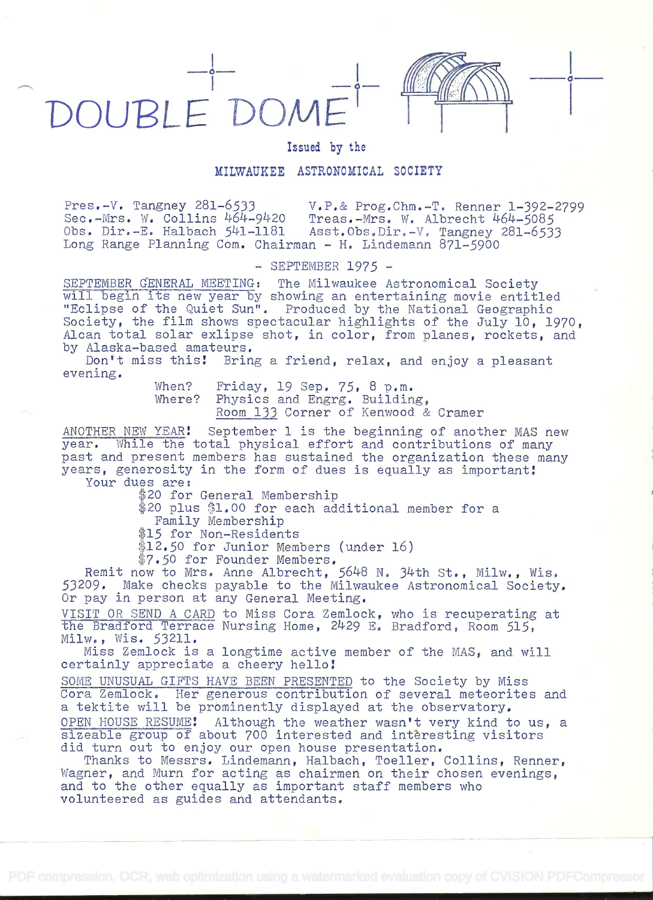



## Issued by the

## MILWAUKEE ASTRONOMICAL SOCIETY

Pres.-V. Tangney 281-6533 V.P.& Prog.Chm.-T. Renner 1-392-2799 Sec.-Mrs. W. Collins 464-9420 Treas.-Mrs. W. Albrecht 464-5085 Obs. Dir.-E. Halbach 541-1181 Asst.Obs.Dir.-V. Tangney 281-6533 Long Range Planning Com. Chairman - H. Lindemann  $871-5900$ 

 $-$  SEPTEMBER 1975  $-$ 

SEPTEMBER GENERAL MEETING: The Milwaukee Astronomical Society will begin its new year by showing an entertaining movie entitled "Eclipse of the Quiet Sun". Produced by the National Geographic Society, the film shows spectacular highlights of the July 10, 1970, Alcan total solar exlipse shot, in color, from planes, rockets, and by Alaska-based amateurs.

Don't miss this! Bring a friend, relax, and enjoy a pleasant evening.

> When? Friday, 19 Sep. 75, 8 p.m.<br>Where? Physics and Engrg. Buildin Physics and Engrg. Building, Room 133 Corner of Kenwood & Cramer

ANOTHER NEW YEAR! September 1 is the beginning of another MAS new year. While the total physical effort and contributions of many past and present members has sustained the organization these many years, generosity in the form of dues is equally as important! Your dues are:

\$20 for General Membership

\$20 plus \$1.00 for each additional member for a Family Membership

\$15 for Non-Residents

\$12.50 for Junior Members (under 16)

7.50 for Founder Members.

Remit now to Mrs. Anne Albrecht, 5648 N. 34th St., Milw., Wis, 53209. Make checks payable to the Milwaukee Astronomical Society. Or pay in person at any General Meeting.

VISIT OR SEND A CARD to Miss Cora Zemlock, who is recuperating at the Bradford Terrace Nursing Home, 2429 E. Bradford, Room 515, Milw., Wis. 53211.

Miss Zemlock is a longtime active member of the MAS, and will certainly appreciate a cheery hello!

SOME UNUSUAL GIFTS HAVE BEEN PRESENTED to the Society by Miss Cora Zemlock. Her generous contribution of several meteorites and a tektite will be prominently displayed at the observatory. OPEN HOUSE RESUME! Although the weather wasn't very kind to us, a sizeable group of about 700 interested and intèresting visitors did turn out to enjoy our open house presentation.

Thanks to Messrs. Lindemann, Halbach, Toeller, Collins, Renner, Wagner, and Mum for acting as chairmen on their chosen evenings, and to the other equally as important staff members who volunteered as guides and attendants.